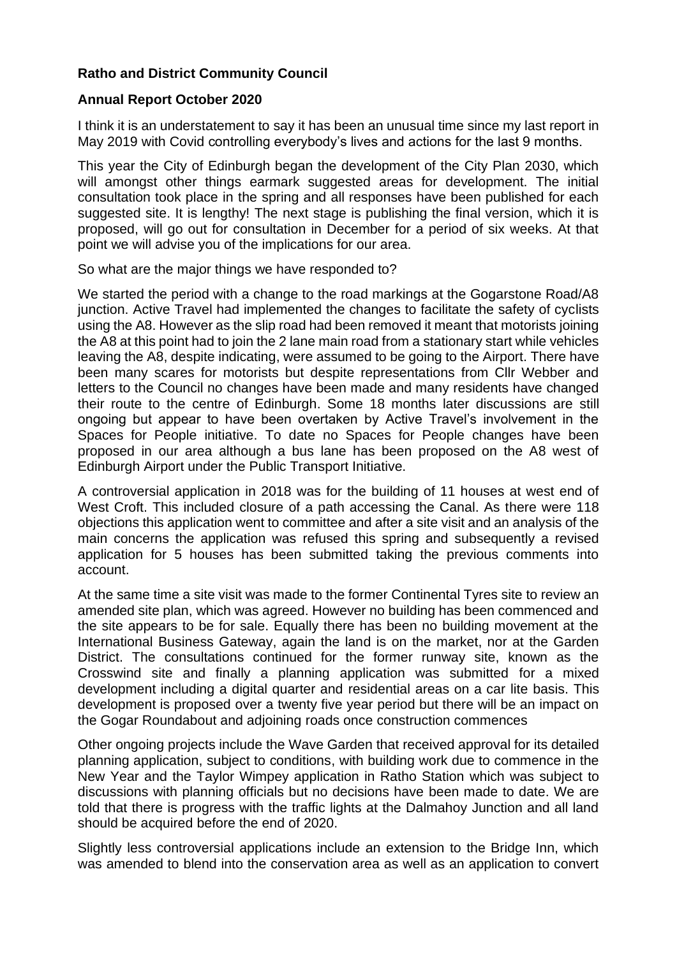## **Ratho and District Community Council**

## **Annual Report October 2020**

I think it is an understatement to say it has been an unusual time since my last report in May 2019 with Covid controlling everybody's lives and actions for the last 9 months.

This year the City of Edinburgh began the development of the City Plan 2030, which will amongst other things earmark suggested areas for development. The initial consultation took place in the spring and all responses have been published for each suggested site. It is lengthy! The next stage is publishing the final version, which it is proposed, will go out for consultation in December for a period of six weeks. At that point we will advise you of the implications for our area.

So what are the major things we have responded to?

We started the period with a change to the road markings at the Gogarstone Road/A8 junction. Active Travel had implemented the changes to facilitate the safety of cyclists using the A8. However as the slip road had been removed it meant that motorists joining the A8 at this point had to join the 2 lane main road from a stationary start while vehicles leaving the A8, despite indicating, were assumed to be going to the Airport. There have been many scares for motorists but despite representations from Cllr Webber and letters to the Council no changes have been made and many residents have changed their route to the centre of Edinburgh. Some 18 months later discussions are still ongoing but appear to have been overtaken by Active Travel's involvement in the Spaces for People initiative. To date no Spaces for People changes have been proposed in our area although a bus lane has been proposed on the A8 west of Edinburgh Airport under the Public Transport Initiative.

A controversial application in 2018 was for the building of 11 houses at west end of West Croft. This included closure of a path accessing the Canal. As there were 118 objections this application went to committee and after a site visit and an analysis of the main concerns the application was refused this spring and subsequently a revised application for 5 houses has been submitted taking the previous comments into account.

At the same time a site visit was made to the former Continental Tyres site to review an amended site plan, which was agreed. However no building has been commenced and the site appears to be for sale. Equally there has been no building movement at the International Business Gateway, again the land is on the market, nor at the Garden District. The consultations continued for the former runway site, known as the Crosswind site and finally a planning application was submitted for a mixed development including a digital quarter and residential areas on a car lite basis. This development is proposed over a twenty five year period but there will be an impact on the Gogar Roundabout and adjoining roads once construction commences

Other ongoing projects include the Wave Garden that received approval for its detailed planning application, subject to conditions, with building work due to commence in the New Year and the Taylor Wimpey application in Ratho Station which was subject to discussions with planning officials but no decisions have been made to date. We are told that there is progress with the traffic lights at the Dalmahoy Junction and all land should be acquired before the end of 2020.

Slightly less controversial applications include an extension to the Bridge Inn, which was amended to blend into the conservation area as well as an application to convert